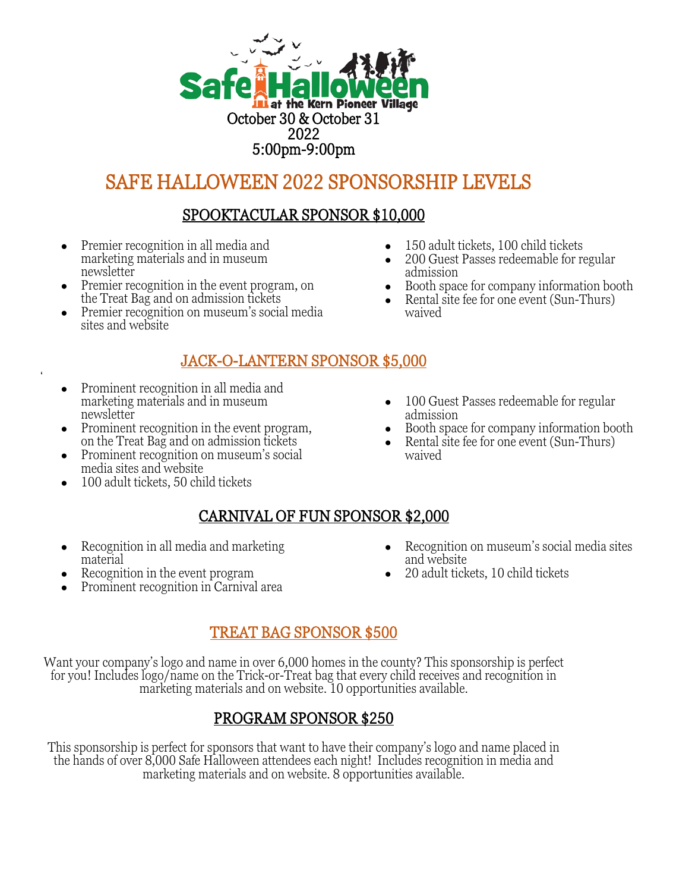

# SAFE HALLOWEEN 2022 SPONSORSHIP LEVELS

## SPOOKTACULAR SPONSOR \$10,000

- Premier recognition in all media and marketing materials and in museum newsletter
- Premier recognition in the event program, on the Treat Bag and on admission tickets
- Premier recognition on museum's social media sites and website

## JACK-O-LANTERN SPONSOR \$5,000

● Prominent recognition in all media and marketing materials and in museum newsletter

 $\epsilon$ 

- Prominent recognition in the event program, on the Treat Bag and on admission tickets
- Prominent recognition on museum's social media sites and website
- 100 adult tickets, 50 child tickets
- 150 adult tickets, 100 child tickets
- 200 Guest Passes redeemable for regular admission
- Booth space for company information booth
- Rental site fee for one event (Sun-Thurs) waived
- 100 Guest Passes redeemable for regular admission
- Booth space for company information booth
- Rental site fee for one event (Sun-Thurs) waived

# CARNIVAL OF FUN SPONSOR \$2,000

- Recognition in all media and marketing material
- Recognition in the event program
- Prominent recognition in Carnival area
- Recognition on museum's social media sites and website
- 20 adult tickets, 10 child tickets

# TREAT BAG SPONSOR \$500

Want your company's logo and name in over 6,000 homes in the county? This sponsorship is perfect for you! Includes logo/name on the Trick-or-Treat bag that every child receives and recognition in marketing materials and on website. 10 opportunities available.

## PROGRAM SPONSOR \$250

This sponsorship is perfect for sponsors that want to have their company's logo and name placed in the hands of over 8,000 Safe Halloween attendees each night! Includes recognition in media and marketing materials and on website. 8 opportunities available.